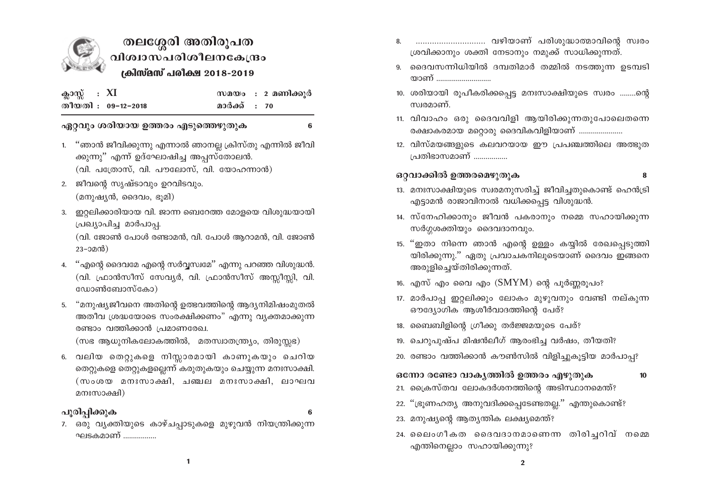

# തലശ്ശേരി അതിരൂപത വിശ്വാസപരിശീലനകേന്ദ്രം ക്രിസ്മസ് പരിക്ഷ 2018-2019

| ക്ലാസ്സ് : XI |                    |              | സമയം : 2 മണിക്കുർ |
|---------------|--------------------|--------------|-------------------|
|               | തീയതി : 09-12-2018 | മാർക്ക് : 70 |                   |

## ഏറ്റവും ശരിയായ ഉത്തരം എടുത്തെഴുതുക

1. "ഞാൻ ജീവിക്കുന്നു എന്നാൽ ഞാനല്ല ക്രിസ്തു എന്നിൽ ജീവി ക്കുന്നു" എന്ന് ഉദ്ഘോഷിച്ച അപ്പസ്തോലൻ.  $($ വി. പത്രോസ്, വി. പൗലോസ്, വി. യോഹന്നാൻ)

6

- 2. ജീവന്റെ സൃഷ്ടാവും ഉറവിടവും.  $(\text{20})$ ഷ്യൻ, ദൈവം, ഭൂമി)
- 3. ഇറ്റലിക്കാരിയായ വി. ജാന്ന ബെറേത്ത മോളയെ വിശുദ്ധയായി പ്രഖ്യാപിച്ച മാർപാപ്പ.

(വി. ജോൺ പോൾ രണ്ടാമൻ, വി. പോൾ ആറാമൻ, വി. ജോൺ  $23 - 22$ ൻ)

- 4. "എന്റെ ദൈവമേ എന്റെ സർവ്വസ്വമേ" എന്നു പറഞ്ഞ വിശുദ്ധൻ. (വി. ഫ്രാൻസീസ് സേവ്യർ, വി. ഫ്രാൻസീസ് അസ്സീസ്സി, വി. ഡോൺബോസ്കോ)
- 5. "മനുഷ്യജീവനെ അതിന്റെ ഉത്ഭവത്തിന്റെ ആദ്യനിമിഷംമുതൽ അതീവ ശ്രദ്ധയോടെ സംരക്ഷിക്കണം" എന്നു വ്യക്തമാക്കുന്ന രണ്ടാം വത്തിക്കാൻ പ്രമാണരേഖ.

(സഭ ആധുനികലോകത്തിൽ, മതസ്വാതന്ത്ര്യം, തിരുസ്സഭ)

6. വലിയ തെറ്റുകളെ നിസ്സാരമായി കാണുകയും ചെറിയ തെറ്റുകളെ തെറ്റുകളല്ലെന്ന് കരുതുകയും ചെയ്യുന്ന മനഃസാക്ഷി. (സംശയ മനഃസാക്ഷി, ചഞ്ചല മനഃസാക്ഷി, ലാഘവ മനഃസാക്ഷി)

#### പൂരിപ്പിക്കുക

7. ഒരു വ്യക്തിയുടെ കാഴ്ചപ്പാടുകളെ മുഴുവൻ നിയന്ത്രിക്കുന്ന ഘടകമാണ് ................

- 8. ............................. വഴിയാണ് പരിശുദ്ധാത്മാവിന്റെ സ്വരം ശ്രവിക്കാനും ശക്തി നേടാനും നമുക്ക് സാധിക്കുന്നത്.
- 9. ദൈവസന്നിധിയിൽ ദമ്പതിമാർ തമ്മിൽ നടത്തുന്ന ഉടമ്പടി യാണ് ............................
- 10. ശരിയായി രൂപീകരിക്കപ്പെട്ട മനഃസാക്ഷിയുടെ സ്വരം ........ന്റെ സ്വരമാണ്.
- 11. വിവാഹം ഒരു ദൈവവിളി ആയിരിക്കുന്നതുപോലെതന്നെ രക്ഷാകരമായ മറ്റൊരു ദൈവികവിളിയാണ് .....................
- 12. വിസ്മയങ്ങളുടെ കലവറയായ ഈ പ്രപഞ്ചത്തിലെ അത്ഭുത പ്രതിഭാസമാണ് ................

## ഒറ്റവാക്കിൽ ഉത്തരമെഴുതുക

- $\mathbf{a}$
- 13. മനഃസാക്ഷിയുടെ സ്വരമനുസരിച്ച് ജീവിച്ചതുകൊണ്ട് ഹെൻട്രി എട്ടാമൻ രാജാവിനാൽ വധിക്കപ്പെട്ട വിശുദ്ധൻ.
- 14. സ്നേഹിക്കാനും ജീവൻ പകരാനും നമ്മെ സഹായിക്കുന്ന സർഗ്ഗശക്തിയും ദൈവദാനവും.
- 15. ''ഇതാ നിന്നെ ഞാൻ എന്റെ ഉള്ളം കയ്യിൽ രേഖപ്പെടുത്തി യിരിക്കുന്നു." ഏതു പ്രവാചകനിലൂടെയാണ് ദൈവം ഇങ്ങനെ അരുളിച്ചെയ്തിരിക്കുന്നത്.
- 16. എസ് എം വൈ എം  $(SMYM)$  ന്റെ പൂർണ്ണരൂപം?
- 17. മാർപാപ്പ ഇറ്റലിക്കും ലോകം മുഴുവനും വേണ്ടി നല്കുന്ന ഔദ്യോഗിക ആശീർവാദത്തിന്റെ പേര്?
- 18. ബൈബിളിന്റെ ഗ്രീക്കു തർജ്ജമയുടെ പേര്?
- 19. ചെറുപുഷ്പ മിഷൻലീഗ് ആരംഭിച്ച വർഷം, തീയതി?
- 20. രണ്ടാം വത്തിക്കാൻ കൗൺസിൽ വിളിച്ചുകൂട്ടിയ മാർപാപ്പ?
- ഒന്നോ രണ്ടോ വാകൃത്തിൽ ഉത്തരം എഴുതുക  $10$
- 21. ക്രൈസ്തവ ലോകദർശനത്തിന്റെ അടിസ്ഥാനമെന്ത്?
- 22. "ഭ്രൂണഹത്യ അനുവദിക്കപ്പെടേണ്ടതല്ല." എന്തുകൊണ്ട്?
- 23. മനുഷ്യന്റെ ആത്യന്തിക ലക്ഷ്യമെന്ത്?
- 24. ലൈംഗീകത ദൈവദാനമാണെന്ന തിരിച്ചറിവ് നമ്മെ എന്തിനെല്ലാം സഹായിക്കുന്നു?